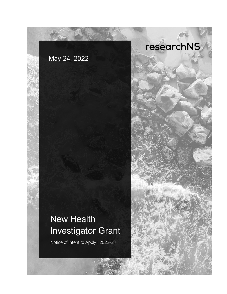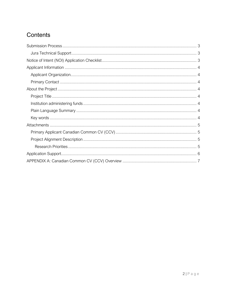# Contents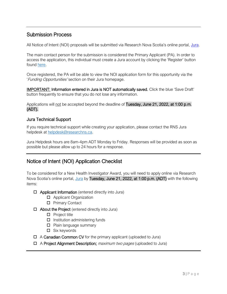### <span id="page-2-0"></span>Submission Process

All Notice of Intent (NOI) proposals will be submitted via Research Nova Scotia's online portal, [Jura.](https://researchns.smartsimple.ca/)

The main contact person for the submission is considered the Primary Applicant (PA). In order to access the application, this individual must create a Jura account by clicking the 'Register' button found [here.](https://researchns.smartsimple.ca/)

Once registered, the PA will be able to view the NOI application form for this opportunity via the 'Funding Opportunities' section on their Jura homepage.

**IMPORTANT:** Information entered in Jura is NOT automatically saved. Click the blue 'Save Draft' button frequently to ensure that you do not lose any information.

Applications will not be accepted beyond the deadline of Tuesday, June 21, 2022, at 1:00 p.m. (ADT).

### <span id="page-2-1"></span>Jura Technical Support

If you require technical support while creating your application, please contact the RNS Jura helpdesk at [helpdesk@researchns.ca.](mailto:helpdesk@researchns.ca)

Jura Helpdesk hours are 8am-4pm ADT Monday to Friday. Responses will be provided as soon as possible but please allow up to 24 hours for a response.

## <span id="page-2-2"></span>Notice of Intent (NOI) Application Checklist

To be considered for a New Health Investigator Award, you will need to apply online via Research Nova Scotia's online portal, [Jura](https://researchns.smartsimple.ca/) by Tuesday, June 21, 2022, at 1:00 p.m. (ADT) with the following items:

- $\Box$  Applicant Information (entered directly into Jura)
	- □ Applicant Organization
	- □ Primary Contact
- $\Box$  About the Project (entered directly into Jura)
	- $\Box$  Project title
	- $\Box$  Institution administering funds
	- $\Box$  Plain language summary
	- $\Box$  Six keywords
- $\Box$  A **Canadian Common CV** for the primary applicant (uploaded to Jura)
- $\Box$  A Project Alignment Description; *maximum two pages* (uploaded to Jura)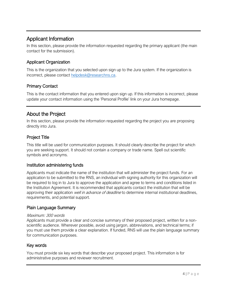## <span id="page-3-0"></span>Applicant Information

In this section, please provide the information requested regarding the primary applicant (the main contact for the submission).

### <span id="page-3-1"></span>Applicant Organization

This is the organization that you selected upon sign up to the Jura system. If the organization is incorrect, please contact [helpdesk@researchns.ca.](mailto:helpdesk@researchns.ca)

### <span id="page-3-2"></span>Primary Contact

This is the contact information that you entered upon sign up. If this information is incorrect, please update your contact information using the 'Personal Profile' link on your Jura homepage.

## <span id="page-3-3"></span>About the Project

In this section, please provide the information requested regarding the project you are proposing directly into Jura.

### <span id="page-3-4"></span>Project Title

This title will be used for communication purposes. It should clearly describe the project for which you are seeking support. It should not contain a company or trade name. Spell out scientific symbols and acronyms.

### <span id="page-3-5"></span>Institution administering funds

Applicants must indicate the name of the institution that will administer the project funds. For an application to be submitted to the RNS, an individual with signing authority for this organization will be required to log in to Jura to approve the application and agree to terms and conditions listed in the Institution Agreement. It is recommended that applicants contact the institution that will be approving their application well in advance of deadline to determine internal institutional deadlines, requirements, and potential support.

### <span id="page-3-6"></span>Plain Language Summary

### Maximum: 300 words

Applicants must provide a clear and concise summary of their proposed project, written for a nonscientific audience. Wherever possible, avoid using jargon, abbreviations, and technical terms; if you must use them provide a clear explanation. If funded, RNS will use the plain language summary for communication purposes.

### <span id="page-3-7"></span>Key words

You must provide six key words that describe your proposed project. This information is for administrative purposes and reviewer recruitment.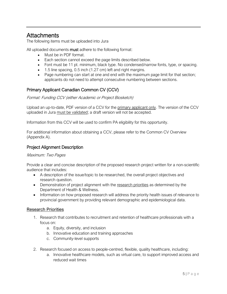## <span id="page-4-0"></span>Attachments

The following items must be uploaded into Jura

All uploaded documents must adhere to the following format:

- Must be in PDF format.
- Each section cannot exceed the page limits described below.
- Font must be 11 pt. minimum, black type. No condensed/narrow fonts, type, or spacing.
- 1.5 line spacing, 0.5 inch (1.27 cm) left and right margins.
- Page numbering can start at one and end with the maximum page limit for that section; applicants do not need to attempt consecutive numbering between sections.

### <span id="page-4-1"></span>Primary Applicant Canadian Common CV (CCV)

Format: Funding CCV (either Academic or Project Biosketch)

Upload an up-to-date, PDF version of a CCV for the primary applicant only. The version of the CCV uploaded in Jura must be validated; a draft version will not be accepted.

Information from this CCV will be used to confirm PA eligibility for this opportunity.

For additional information about obtaining a CCV, please refer to the Common CV Overview (Appendix A).

### <span id="page-4-2"></span>Project Alignment Description

#### Maximum: Two Pages

Provide a clear and concise description of the proposed research project written for a non-scientific audience that includes:

- A description of the issue/topic to be researched, the overall project objectives and research question.
- Demonstration of project alignment with the research priorities as determined by the Department of Health & Wellness.
- Information on how proposed research will address the priority health issues of relevance to provincial government by providing relevant demographic and epidemiological data.

### <span id="page-4-3"></span>Research Priorities

- 1. Research that contributes to recruitment and retention of healthcare professionals with a focus on:
	- a. Equity, diversity, and inclusion
	- b. Innovative education and training approaches
	- c. Community-level supports
- 2. Research focused on access to people-centred, flexible, quality healthcare, including:
	- a. Innovative healthcare models, such as virtual care, to support improved access and reduced wait times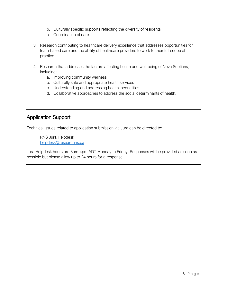- b. Culturally specific supports reflecting the diversity of residents
- c. Coordination of care
- 3. Research contributing to healthcare delivery excellence that addresses opportunities for team-based care and the ability of healthcare providers to work to their full scope of practice.
- 4. Research that addresses the factors affecting health and well-being of Nova Scotians, including:
	- a. Improving community wellness
	- b. Culturally safe and appropriate health services
	- c. Understanding and addressing health inequalities
	- d. Collaborative approaches to address the social determinants of health.

## <span id="page-5-0"></span>Application Support

Technical issues related to application submission via Jura can be directed to:

RNS Jura Helpdesk [helpdesk@researchns.ca](mailto:helpdesk@researchns.ca)

Jura Helpdesk hours are 8am-4pm ADT Monday to Friday. Responses will be provided as soon as possible but please allow up to 24 hours for a response.